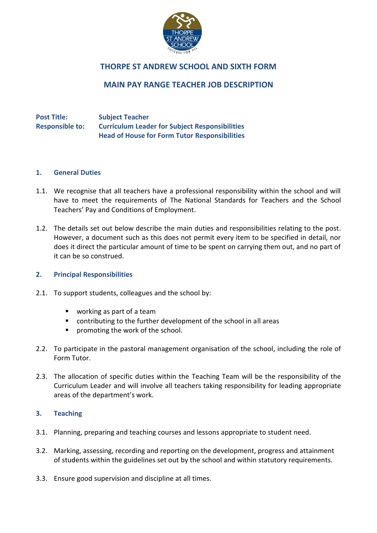

# **THORPE ST ANDREW SCHOOL AND SIXTH FORM**

# **MAIN PAY RANGE TEACHER JOB DESCRIPTION**

## **Post Title: Subject Teacher Responsible to: Curriculum Leader for Subject Responsibilities Head of House for Form Tutor Responsibilities**

#### **1. General Duties**

- 1.1. We recognise that all teachers have a professional responsibility within the school and will have to meet the requirements of The National Standards for Teachers and the School Teachers' Pay and Conditions of Employment.
- 1.2. The details set out below describe the main duties and responsibilities relating to the post. However, a document such as this does not permit every item to be specified in detail, nor does it direct the particular amount of time to be spent on carrying them out, and no part of it can be so construed.

## **2. Principal Responsibilities**

- 2.1. To support students, colleagues and the school by:
	- working as part of a team
	- contributing to the further development of the school in all areas
	- **P** promoting the work of the school.
- 2.2. To participate in the pastoral management organisation of the school, including the role of Form Tutor.
- 2.3. The allocation of specific duties within the Teaching Team will be the responsibility of the Curriculum Leader and will involve all teachers taking responsibility for leading appropriate areas of the department's work.

## **3. Teaching**

- 3.1. Planning, preparing and teaching courses and lessons appropriate to student need.
- 3.2. Marking, assessing, recording and reporting on the development, progress and attainment of students within the guidelines set out by the school and within statutory requirements.
- 3.3. Ensure good supervision and discipline at all times.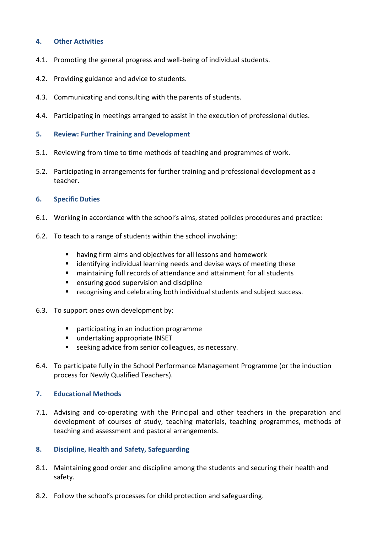## **4. Other Activities**

- 4.1. Promoting the general progress and well-being of individual students.
- 4.2. Providing guidance and advice to students.
- 4.3. Communicating and consulting with the parents of students.
- 4.4. Participating in meetings arranged to assist in the execution of professional duties.
- **5. Review: Further Training and Development**
- 5.1. Reviewing from time to time methods of teaching and programmes of work.
- 5.2. Participating in arrangements for further training and professional development as a teacher.

## **6. Specific Duties**

- 6.1. Working in accordance with the school's aims, stated policies procedures and practice:
- 6.2. To teach to a range of students within the school involving:
	- having firm aims and objectives for all lessons and homework
	- identifying individual learning needs and devise ways of meeting these
	- maintaining full records of attendance and attainment for all students
	- **E** ensuring good supervision and discipline
	- recognising and celebrating both individual students and subject success.
- 6.3. To support ones own development by:
	- participating in an induction programme
	- undertaking appropriate INSET
	- **E** seeking advice from senior colleagues, as necessary.
- 6.4. To participate fully in the School Performance Management Programme (or the induction process for Newly Qualified Teachers).

## **7. Educational Methods**

- 7.1. Advising and co-operating with the Principal and other teachers in the preparation and development of courses of study, teaching materials, teaching programmes, methods of teaching and assessment and pastoral arrangements.
- **8. Discipline, Health and Safety, Safeguarding**
- 8.1. Maintaining good order and discipline among the students and securing their health and safety.
- 8.2. Follow the school's processes for child protection and safeguarding.